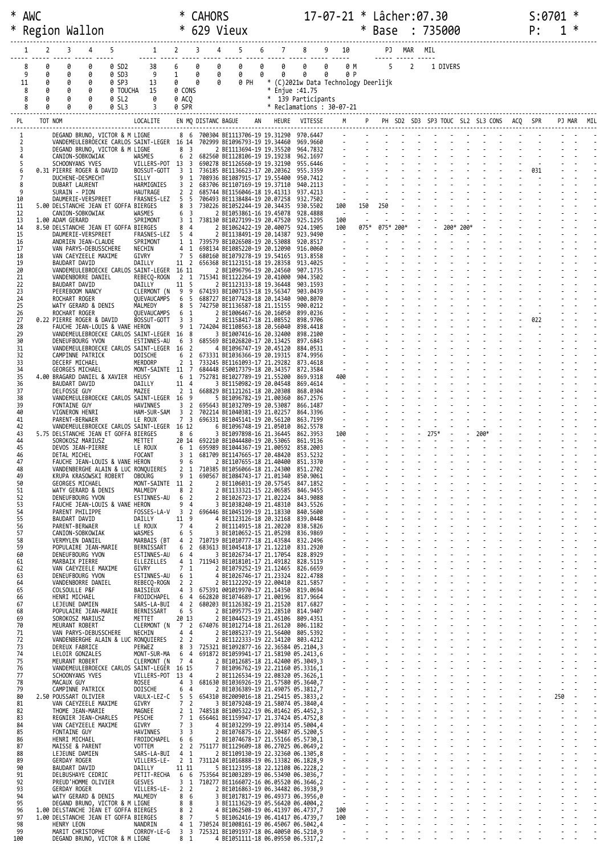| *                   | AWC     |                  | Region Wallon                                                                                             |                   |                                                        | ∗                                              | <b>CAHORS</b>       | 629 Vieux                                                                        |                  |                                                   | $17 - 07 - 21 *$ Lâcher:07.30 | $\ast$            |                | Base       |                |      | : 735000  |                                  |     | P:  |     | ∗ |  |
|---------------------|---------|------------------|-----------------------------------------------------------------------------------------------------------|-------------------|--------------------------------------------------------|------------------------------------------------|---------------------|----------------------------------------------------------------------------------|------------------|---------------------------------------------------|-------------------------------|-------------------|----------------|------------|----------------|------|-----------|----------------------------------|-----|-----|-----|---|--|
|                     |         | 2                | 3<br>4                                                                                                    |                   | 1                                                      | $2^{\sim}$                                     | 3                   | 4                                                                                | 6                | 8                                                 | 10                            |                   |                | PJ MAR MIL |                |      |           |                                  |     |     |     |   |  |
|                     |         |                  | ø                                                                                                         |                   |                                                        | 6                                              | 0                   | 0                                                                                | 0<br>0           | 0                                                 | 0                             | 0 M               |                | 5          | $\overline{2}$ |      |           |                                  |     |     |     |   |  |
|                     | 8<br>9  | 0<br>0           | 0<br>0<br>0                                                                                               | 0 SD2<br>0 SD3    | 38<br>9                                                | $\mathbf{1}$                                   | 0<br>0<br>0         | 0                                                                                | 0                | 0                                                 | 0                             | 0 P               |                |            |                |      | 1 DIVERS  |                                  |     |     |     |   |  |
|                     | 11<br>8 | 0<br>0           | 0<br>0<br>0<br>0                                                                                          | 0 SP3<br>0 TOUCHA | 13<br>15                                               | 0<br>0 CONS                                    | 0<br>0              | 0 PH                                                                             | $\ast$<br>$\ast$ | (C)2021w Data Technology Deerlijk<br>Enjue :41.75 |                               |                   |                |            |                |      |           |                                  |     |     |     |   |  |
|                     | 8<br>8  | 0                | 0<br>0<br>Ø                                                                                               | 0 SL2<br>0 SL3    | 0                                                      | 0 ACO<br>0 SPR                                 |                     |                                                                                  |                  | * 139 Participants<br>* Reclamations: 30-07-21    |                               |                   |                |            |                |      |           |                                  |     |     |     |   |  |
| PL                  |         | TOT NOM          |                                                                                                           |                   | LOCALITE                                               |                                                | EN MQ DISTANC BAGUE |                                                                                  | AN               | HEURE VITESSE                                     |                               |                   | P <sub>1</sub> |            |                |      |           | PH SD2 SD3 SP3 TOUC SL2 SL3 CONS | ACQ |     |     |   |  |
| 1                   |         |                  | DEGAND BRUNO, VICTOR & M LIGNE                                                                            |                   |                                                        |                                                |                     | 8 6 700304 BE1113706-19 19.31290 970.6447                                        |                  |                                                   |                               |                   |                |            |                |      |           |                                  |     |     |     |   |  |
| $\overline{2}$<br>3 |         |                  | VANDEMEULEBROECKE CARLOS SAINT-LEGER 16 14 702999 BE1096793-19 19.34460<br>DEGAND BRUNO, VICTOR & M LIGNE |                   |                                                        | 8 <sup>3</sup>                                 |                     | 2 BE1113694-19 19.35520                                                          |                  | 969,9660<br>964.7832                              |                               |                   |                |            |                |      |           |                                  |     |     |     |   |  |
| 4<br>5              |         |                  | CANION-SOBKOWIAK<br>SCHOONYANS YVES                                                                       |                   | WASMES<br>VILLERS-POT 13 3                             |                                                |                     | 6 2 682560 BE1128106-19 19.19238<br>690278 BE1126560-19 19.32190                 |                  | 962.1697<br>955.6446                              |                               |                   |                |            |                |      |           |                                  |     |     |     |   |  |
| 6                   |         |                  | 0.31 PIERRE ROGER & DAVID<br>DUCHENE-DESMECHT                                                             |                   | BOSSUT-GOTT<br>SILLY                                   | 3 <sub>1</sub><br>9<br>1                       |                     | 736185 BE1136623-17 20.20362<br>708936 BE1087915-17 19.55400                     |                  | 955.3359<br>950.7412                              |                               |                   |                |            |                |      |           |                                  |     | 031 |     |   |  |
| 8<br>9              |         |                  | DUBART LAURENT<br>SURAIN - PION                                                                           |                   | HARMIGNIES<br>HAUTRAGE                                 | $\overline{2}$<br>3<br>2 <sub>2</sub>          |                     | 683706 BE1107169-19 19.37110<br>685744 BE1156046-18 19.41313                     |                  | 940.2113<br>937,4213                              |                               |                   |                |            |                |      |           |                                  |     |     |     |   |  |
| 10<br>11            |         |                  | DAUMERIE-VERSPREET<br>5.00 DELSTANCHE JEAN ET GOFFA BIERGES                                               |                   | FRASNES-LEZ                                            | 5<br>- 5<br>8 3                                |                     | 706493 BE1138484-19 20.07258<br>730226 BE1052244-19 20.34435                     |                  | 932.7502<br>930.5502                              | $\sim$<br>100                 | 150               | 250            |            |                |      |           |                                  |     |     |     |   |  |
| 12<br>13            |         | 1.00 ADAM GERARD | CANION-SOBKOWIAK                                                                                          |                   | WASMES<br>SPRIMONT                                     | 6<br>$\overline{\mathbf{3}}$<br>3 <sub>1</sub> |                     | 2 BE1053861-16 19.45078<br>738130 BE1027199-19 20.47520                          |                  | 928.4888<br>925.1295                              | - 11<br>100                   |                   |                |            |                |      |           |                                  |     |     |     |   |  |
| 14                  |         |                  | 8.50 DELSTANCHE JEAN ET GOFFA BIERGES                                                                     |                   |                                                        | 8<br>4                                         |                     | 2 BE1062422-19 20.40075                                                          |                  | 924,1905                                          | 100                           |                   | 075*           | 075* 200*  |                |      | 200* 200* |                                  |     |     |     |   |  |
| 15<br>16            |         |                  | DAUMERIE-VERSPREET<br>ANDRIEN JEAN-CLAUDE                                                                 |                   | FRASNES-LEZ<br>SPRIMONT                                | 5<br>$\overline{4}$<br>1 1                     |                     | 2 BE1138491-19 20.14387<br>739579 BE1026508-19 20.53088                          |                  | 923.9490<br>920.8517                              | $\overline{\phantom{a}}$      |                   |                |            |                |      |           |                                  |     |     |     |   |  |
| 17<br>18            |         |                  | VAN PARYS-DEBUSSCHERE<br>VAN CAEYZEELE MAXIME                                                             |                   | NECHIN<br>GIVRY                                        | $4 \quad 1$<br>7                               | 5                   | 698134 BE1085220-19 20.12090<br>680160 BE1079278-19 19.54165                     |                  | 916.0060<br>913.8558                              |                               |                   |                |            |                |      |           |                                  |     |     |     |   |  |
| 19<br>20            |         |                  | BAUDART DAVID<br>VANDEMEULEBROECKE CARLOS SAINT-LEGER 16 11                                               |                   | DAILLY                                                 | 11 2                                           |                     | 656368 BE1123151-18 19.28358<br>2 BE1096796-19 20.24560                          |                  | 913.4025<br>907,1735                              |                               |                   |                |            |                |      |           |                                  |     |     |     |   |  |
| 21<br>22            |         |                  | VANDENBORRE DANIEL<br>BAUDART DAVID                                                                       |                   | REBECO-ROGN<br>DAILLY                                  | 11 5                                           |                     | 2 1 715341 BE1122264-19 20.41000<br>2 BE1123133-18 19.36448                      |                  | 904.3502<br>903.1593                              |                               |                   |                |            |                |      |           |                                  |     |     |     |   |  |
| 23<br>24            |         |                  | PEEREBOOM NANCY<br>ROCHART ROGER                                                                          |                   | CLERMONT (N<br>QUEVAUCAMPS                             | -9<br>- 9<br>-5<br>6                           |                     | 674193 BE1007153-18 19.56347<br>688727 BE1077428-18 20.14340                     |                  | 903.0439<br>900.8070                              |                               |                   |                |            |                |      |           |                                  |     |     |     |   |  |
| 25<br>26            |         |                  | WATY GERARD & DENIS<br>ROCHART ROGER                                                                      |                   | MALMEDY<br>QUEVAUCAMPS                                 | - 5<br>8<br>1<br>6                             |                     | 742750 BE1136587-18 21.15155<br>2 BE1006467-16 20.16050                          |                  | 900.0212<br>899.0236                              |                               |                   |                |            |                |      |           |                                  |     |     |     |   |  |
| 27<br>28            |         |                  | 0.22 PIERRE ROGER & DAVID<br>FAUCHE JEAN-LOUIS & VANE HERON                                               |                   | BOSSUT-GOTT                                            | 3 <sup>3</sup><br>9<br>$\mathbf{1}$            |                     | 2 BE1158417-18 21.08552<br>724204 BE1108563-18 20.56040                          |                  | 898.9706<br>898.4418                              |                               |                   |                |            |                |      |           |                                  |     | 022 |     |   |  |
| 29<br>30            |         |                  | VANDEMEULEBROECKE CARLOS SAINT-LEGER 16 8<br>DENEUFBOURG YVON                                             |                   | ESTINNES-AU                                            | $\overline{3}$<br>6                            |                     | 3 BE1007416-16 20.32400<br>685569 BE1026820-17 20.13425                          |                  | 898,2100<br>897.6843                              |                               |                   |                |            |                |      |           |                                  |     |     |     |   |  |
| 31<br>32            |         |                  | VANDEMEULEBROECKE CARLOS SAINT-LEGER 16                                                                   |                   | DOISCHE                                                | $\overline{2}$<br>6                            | $\overline{2}$      | 4 BE1096747-19 20.45120                                                          |                  | 884.0531                                          |                               |                   |                |            |                |      |           |                                  |     |     |     |   |  |
| 33                  |         |                  | CAMPINNE PATRICK<br>DECERF MICHAEL                                                                        |                   | MERDORP                                                | $\overline{2}$<br>1                            |                     | 673331 BE1036366-19 20.19315<br>733245 BE1161093-17 21.29282                     |                  | 874,9956<br>873.4618                              |                               |                   |                |            |                |      |           |                                  |     |     |     |   |  |
| 34<br>35            |         |                  | GEORGES MICHAEL<br>4.00 BRAGARD DANIEL & XAVIER                                                           |                   | MONT-SAINTE 11 7<br>HEUSY                              | 6<br>1                                         |                     | 684448 ES0017379-18 20.34357<br>752781 BE1027789-19 21.55200                     |                  | 872.3584<br>869,9318                              | 400                           |                   |                |            |                |      |           |                                  |     |     |     |   |  |
| 36<br>37            |         |                  | BAUDART DAVID<br>DELFOSSE GUY                                                                             |                   | DAILLY<br>MAZEE                                        | 11 4<br>2 <sub>1</sub>                         |                     | 3 BE1150982-19 20.04548<br>668829 BE1121261-18 20.20308                          |                  | 869.4614<br>868.0304                              | $\overline{a}$                |                   |                |            |                |      |           |                                  |     |     |     |   |  |
| 38<br>39            |         |                  | VANDEMEULEBROECKE CARLOS SAINT-LEGER 16<br><b>FONTAINE GUY</b>                                            |                   | <b>HAVINNES</b>                                        | 9<br>3 <sub>2</sub>                            |                     | 5 BE1096782-19 21.00360<br>695643 BE1032709-19 20.53087                          |                  | 867,2576<br>866.1487                              |                               |                   |                |            |                |      |           |                                  |     |     |     |   |  |
| 40<br>41            |         |                  | VIGNERON HENRI<br>PARENT-BERWAER                                                                          |                   | HAM-SUR-SAM<br>LE ROUX                                 | 3 <sub>2</sub><br>7 3                          |                     | 702214 BE1040381-19 21.02257<br>696331 BE1045141-19 20.56120                     |                  | 864.3396<br>863,7199                              |                               |                   |                |            |                |      |           |                                  |     |     |     |   |  |
| 42<br>43            |         |                  | VANDEMEULEBROECKE CARLOS SAINT-LEGER 16 12<br>5.75 DELSTANCHE JEAN ET GOFFA BIERGES                       |                   |                                                        | 8 6                                            |                     | 6 BE1096748-19 21.05010<br>3 BE1097898-16 21.36445                               |                  | 862.5578<br>862.3953                              | $\sim$<br>100                 |                   |                |            |                | 275* |           | 200*                             |     |     |     |   |  |
| 44<br>45            |         |                  | SOROKOSZ MARIUSZ<br>DEVOS JEAN-PIERRE                                                                     |                   | METTET<br>LE ROUX                                      | 6                                              | 1                   | 20 14 692210 BE1044480-19 20.53065<br>695989 BE1044367-19 21.00592               |                  | 861.9136<br>858.2003                              | ÷.                            |                   |                |            |                |      |           |                                  |     |     |     |   |  |
| 46<br>47            |         |                  | DETAL MICHEL<br>FAUCHE JEAN-LOUIS & VANE HERON                                                            |                   | FOCANT                                                 | 3 1<br>9 6                                     |                     | 681709 BE1147665-17 20.48420<br>2 BE1107655-18 21.40400 851.3370                 |                  | 853.5232                                          |                               |                   |                |            |                |      |           |                                  |     |     |     |   |  |
| 48<br>49            |         |                  | VANDENBERGHE ALAIN & LUC RONQUIERES<br>KRUPA KRASOWSKI ROBERT                                             |                   | <b>OBOURG</b>                                          | $\overline{2}$<br>$\mathbf{1}$<br>9 1          |                     | 710385 BE1056066-18 21.24300 851.2702<br>690567 BE1084743-17 21.01340 850.9061   |                  |                                                   |                               |                   |                |            |                |      |           |                                  |     |     |     |   |  |
| 50<br>51            |         |                  | GEORGES MICHAEL<br>WATY GERARD & DENIS                                                                    |                   | MONT-SAINTE 11 2<br>MALMEDY                            | 8 <sup>2</sup>                                 |                     | 2 BE1106031-19 20.57545 847.1852<br>2 BE1133321-15 22.06585 846.9455             |                  |                                                   |                               |                   |                |            |                |      |           |                                  |     |     |     |   |  |
| 52<br>53            |         |                  | DENEUFBOURG YVON                                                                                          |                   | ESTINNES-AU                                            | 6 2<br>9                                       | 4                   | 2 BE1026723-17 21.02224<br>3 BE1038240-19 21.48310 843.5526                      |                  | 843.9088                                          |                               |                   |                |            |                |      |           |                                  |     |     |     |   |  |
| 54                  |         |                  | FAUCHE JEAN-LOUIS & VANE HERON<br>PARENT PHILIPPE                                                         |                   | FOSSES-LA-V 3 2                                        |                                                |                     | 696446 BE1045199-19 21.18330 840.5600                                            |                  |                                                   |                               |                   |                |            |                |      |           |                                  |     |     |     |   |  |
| 55<br>56            |         |                  | BAUDART DAVID<br>PARENT-BERWAER                                                                           |                   | DAILLY<br>LE ROUX                                      | 11 9<br>74                                     |                     | 4 BE1123126-18 20.32168 839.0448<br>2 BE1114915-18 21.20220                      |                  | 838.5826                                          |                               |                   |                |            |                |      |           |                                  |     |     |     |   |  |
| 57<br>58            |         |                  | CANION-SOBKOWIAK<br>VERMYLEN DANIEL                                                                       |                   | WASMES<br>MARBAIS (BT                                  | - 5<br>6                                       |                     | 3 BE1010652-15 21.05298 836.9869<br>4 2 710719 BE1010777-18 21.43584             |                  | 832.2496                                          |                               |                   |                |            |                |      |           |                                  |     |     |     |   |  |
| 59<br>60            |         |                  | POPULAIRE JEAN-MARIE<br>DENEUFBOURG YVON                                                                  |                   | BERNISSART<br>ESTINNES-AU                              | 6 <sub>2</sub><br>6 4                          |                     | 683613 BE1045418-17 21.12210 831.2920<br>3 BE1026734-17 21.17054 828.8929        |                  |                                                   |                               |                   |                |            |                |      |           |                                  |     |     |     |   |  |
| 61<br>62            |         |                  | MARBAIX PIERRE<br>VAN CAEYZEELE MAXIME                                                                    |                   | ELLEZELLES<br>GIVRY                                    | 4 1<br>7 <sub>1</sub>                          |                     | 711943 BE1018101-17 21.49182 828.5119<br>2 BE1079252-19 21.12465 826.6659        |                  |                                                   |                               |                   |                |            |                |      |           |                                  |     |     |     |   |  |
| 63<br>64            |         |                  | DENEUFBOURG YVON<br>VANDENBORRE DANIEL                                                                    |                   | ESTINNES-AU<br>REBECQ-ROGN                             | 6 <sub>1</sub><br>2 <sub>2</sub>               |                     | 4 BE1026746-17 21.23324 822.4788<br>2 BE1122292-19 22.00410                      |                  | 821.5857                                          |                               |                   |                |            |                |      |           |                                  |     |     |     |   |  |
| 65<br>66            |         |                  | COLSOULLE P&F<br>HENRI MICHAEL                                                                            |                   | BAISIEUX<br>FROIDCHAPEL                                | $4 \overline{3}$<br>6 4                        |                     | 675391 001019970-17 21.14350 819.0694<br>662820 BE1074689-17 21.00196 817.9664   |                  |                                                   |                               |                   |                |            |                |      |           |                                  |     |     |     |   |  |
| 67<br>68            |         |                  | LEJEUNE DAMIEN<br>POPULAIRE JEAN-MARIE                                                                    |                   | SARS-LA-BUI<br>BERNISSART                              | 4 2<br>6 <sub>5</sub>                          |                     | 680203 BE1126382-19 21.21520 817.6827<br>2 BE1095775-19 21.28510 814.9407        |                  |                                                   |                               |                   |                |            |                |      |           |                                  |     |     |     |   |  |
| 69<br>70            |         |                  | SOROKOSZ MARIUSZ<br>MEURANT ROBERT                                                                        |                   | METTET<br>CLERMONT (N 7 2 674076 BE1012714-18 21.26120 | 20 13                                          |                     | 2 BE1044523-19 21.45106 809.4351                                                 |                  | 806.1182                                          |                               |                   |                |            |                |      |           |                                  |     |     |     |   |  |
| 71                  |         |                  | VAN PARYS-DEBUSSCHERE                                                                                     |                   | NECHIN                                                 | 44                                             |                     | 2 BE1085237-19 21.56400 805.5392                                                 |                  |                                                   |                               |                   |                |            |                |      |           |                                  |     |     |     |   |  |
| 72<br>73            |         |                  | VANDENBERGHE ALAIN & LUC RONQUIERES<br>DEREUX FABRICE                                                     |                   | PERWEZ                                                 | 2 <sub>2</sub><br>8 <sup>3</sup>               |                     | 2 BE1122333-19 22.14120 803.4212<br>725321 BE1092877-16 22.36584 05.2104,3       |                  |                                                   |                               |                   |                |            |                |      |           |                                  |     |     |     |   |  |
| 74<br>75            |         |                  | LELOIR GONZALES<br>MEURANT ROBERT                                                                         |                   | MONT-SUR-MA 6 4<br>CLERMONT (N                         | 7 4                                            |                     | 691872 BE1059941-17 21.58190 05.2413,6<br>2 BE1012685-18 21.42400 05.3049,3      |                  |                                                   |                               |                   |                |            |                |      |           |                                  |     |     |     |   |  |
| 76<br>77            |         |                  | VANDEMEULEBROECKE CARLOS SAINT-LEGER 16 15<br>SCHOONYANS YVES                                             |                   | VILLERS-POT 13 4                                       |                                                |                     | 7 BE1096762-19 22.21160 05.3316,1<br>2 BE1126534-19 22.08320 05.3626,1           |                  |                                                   |                               |                   |                |            |                |      |           |                                  |     |     |     |   |  |
| 78<br>79            |         |                  | MACAUX GUY<br>CAMPINNE PATRICK                                                                            |                   | ROSEE<br>DOISCHE                                       | 4 <sup>3</sup><br>6 <sub>4</sub>               |                     | 681630 BE1036926-19 21.57580 05.3640,7<br>2 BE1036389-19 21.49075 05.3812,7      |                  |                                                   |                               |                   |                |            |                |      |           |                                  |     |     |     |   |  |
| 80<br>81            |         |                  | 2.50 POUSSART OLIVIER<br>VAN CAEYZEELE MAXIME                                                             |                   | VAULX-LEZ-C 5<br>GIVRY                                 | 5<br>7 <sub>2</sub>                            |                     | 654310 BE2009016-18 21.25415 05.3833,2<br>3 BE1079248-19 21.58074 05.3840,4      |                  |                                                   | $\omega_{\rm c}$              |                   |                | ÷.         |                |      |           |                                  |     |     | 250 |   |  |
| 82<br>83            |         |                  | THOME JEAN-MARIE<br>REGNIER JEAN-CHARLES                                                                  |                   | MAGNEE<br>PESCHE                                       | 2 <sub>1</sub><br>7 <sub>1</sub>               |                     | 748518 BE1005322-19 06.01462 05.4452,3<br>656461 BE1159947-17 21.37424 05.4752,8 |                  |                                                   |                               |                   |                |            |                |      |           |                                  |     |     |     |   |  |
| 84<br>85            |         |                  | VAN CAEYZEELE MAXIME<br><b>FONTAINE GUY</b>                                                               |                   | GIVRY<br>HAVINNES                                      | 7 <sup>3</sup><br>3 <sup>3</sup>               |                     | 4 BE1032299-19 22.09314 05.5004,4<br>2 BE1076875-16 22.30487 05.5200,5           |                  |                                                   |                               |                   |                |            |                |      |           |                                  |     |     |     |   |  |
| 86<br>87            |         |                  | HENRI MICHAEL<br>MAISSE & PARENT                                                                          |                   | FROIDCHAPEL<br><b>VOTTEM</b>                           | 6<br>- 6                                       |                     | 2 BE1074678-17 21.55166 05.5730,1<br>2 2 751177 BE1129609-18 06.27025 06.0649,2  |                  |                                                   |                               |                   |                |            |                |      |           |                                  |     |     |     |   |  |
| 88                  |         |                  | LEJEUNE DAMIEN                                                                                            |                   | SARS-LA-BUI                                            | 4 1                                            |                     | 2 BE1109130-19 22.32360 06.1305,8<br>2 1 731124 BE1016888-19 06.13382 06.1828,9  |                  |                                                   |                               |                   |                |            |                |      |           |                                  |     |     |     |   |  |
| 89<br>90            |         |                  | GERDAY ROGER<br>BAUDART DAVID                                                                             |                   | VILLERS-LE-<br>DAILLY                                  | 11 11                                          |                     | 5 BE1123195-18 22.12108 06.2228.2                                                |                  |                                                   |                               |                   |                |            |                |      |           |                                  |     |     |     |   |  |
| 91<br>92            |         |                  | DELBUSHAYE CEDRIC<br>PREUD'HOMME OLIVIER                                                                  |                   | PETIT-RECHA<br><b>GESVES</b>                           | 6 6<br>1<br>3                                  |                     | 753564 BE1003289-19 06.53490 06.3036,7<br>710277 BE1166072-16 06.05520 06.3646,2 |                  |                                                   | $\omega$                      |                   |                |            |                |      |           |                                  |     |     |     |   |  |
| 93<br>94            |         |                  | <b>GERDAY ROGER</b><br>WATY GERARD & DENIS                                                                |                   | VILLERS-LE-<br>MALMEDY                                 | 2 <sub>2</sub><br>8 6                          |                     | 2 BE1016863-19 06.34482 06.3938,9<br>3 BE1017817-19 06.49373 06.3956,0           |                  |                                                   | $\sim$                        | <b>Contractor</b> |                |            |                |      |           |                                  |     |     |     |   |  |
| 95<br>96            |         |                  | DEGAND BRUNO, VICTOR & M LIGNE<br>1.00 DELSTANCHE JEAN ET GOFFA BIERGES                                   |                   |                                                        | 8 8<br>8 <sub>2</sub>                          |                     | 3 BE1113629-19 05.56420 06.4004,2<br>4 BE1062508-19 06.41397 06.4737,7           |                  |                                                   | 100                           |                   |                |            |                |      |           |                                  |     |     |     |   |  |
| 97<br>98            |         |                  | 1.00 DELSTANCHE JEAN ET GOFFA BIERGES<br>HENRY LEON                                                       |                   | NANDRIN                                                | 8 7                                            |                     | 5 BE1062416-19 06.41417 06.4739,7<br>4 1 730524 BE1008161-19 06.45067 06.5042,4  |                  |                                                   | 100<br>$\sim$                 |                   |                |            |                |      |           |                                  |     |     |     |   |  |
| 99<br>100           |         |                  | MARIT CHRISTOPHE<br>DEGAND BRUNO, VICTOR & M LIGNE                                                        |                   | CORROY-LE-G                                            | 8 1                                            |                     | 3 3 725321 BE1091937-18 06.40050 06.5210.9<br>4 BE1051111-18 06.09550 06.5317,2  |                  |                                                   |                               |                   |                |            |                |      |           |                                  |     |     |     |   |  |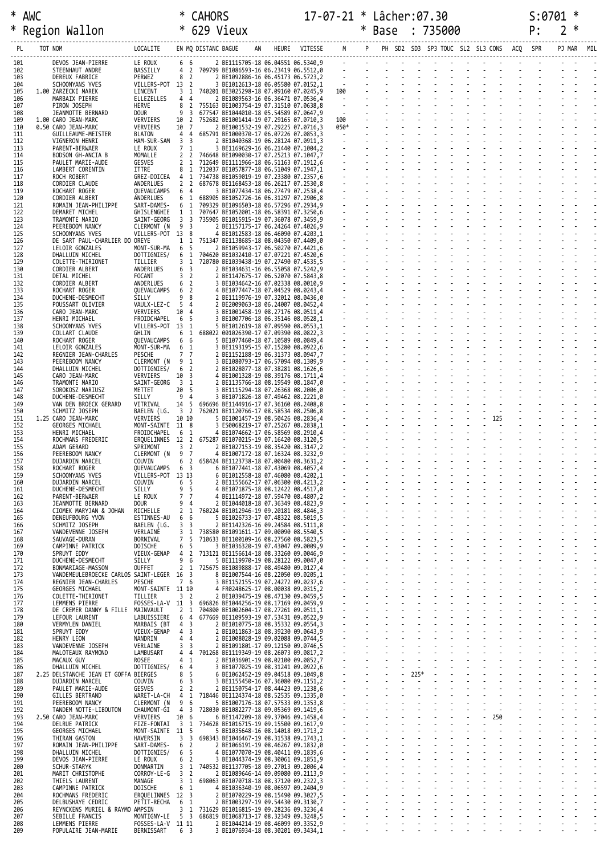|            | * AWC                                                                    |                                     | ∗                                 |                                                                                                       |  |                           |                  | 17-07-21 * Lâcher:07.30 |  |  |                       |  |  |  |  |  |
|------------|--------------------------------------------------------------------------|-------------------------------------|-----------------------------------|-------------------------------------------------------------------------------------------------------|--|---------------------------|------------------|-------------------------|--|--|-----------------------|--|--|--|--|--|
| $\ast$     | Region Wallon                                                            |                                     |                                   |                                                                                                       |  |                           |                  |                         |  |  |                       |  |  |  |  |  |
| PL         | TOT NOM                                                                  |                                     |                                   |                                                                                                       |  |                           |                  |                         |  |  |                       |  |  |  |  |  |
| 101        | DEVOS JEAN-PIERRE                                                        | LE ROUX 6 6                         |                                   | 2 BE1115705-18 06.04551 06.5340,9                                                                     |  |                           |                  |                         |  |  |                       |  |  |  |  |  |
| 102<br>103 | BASSILLY<br>STEENHAUT ANDRE<br>DEREUX FABRICE                            | PERWEZ                              | 8 2                               | 4 2 709799 BE1086593-16 06.23419 06.5512,0<br>2 BE1092886-16 06.45173 06.5723,2                       |  |                           |                  |                         |  |  |                       |  |  |  |  |  |
| 104        | SCHOONYANS YVES                                                          | VILLERS-POT 13 2                    |                                   | 3 BE1012613-18 06.05580 07.0152,1                                                                     |  |                           |                  |                         |  |  |                       |  |  |  |  |  |
| 105<br>106 | 1.00 ZARZECKI MAREK<br>MARBAIX PIERRE<br>ELLEZELLES                      | LINCENT                             | 44                                | 3 1 740201 BE3025298-18 07.09160 07.0245,9<br>2 BE1089563-16 06.36471 07.0536,4                       |  |                           |                  |                         |  |  |                       |  |  |  |  |  |
| 107<br>108 | HERVE<br>PIRON JOSEPH<br>DOUR<br>JEANMOTTE BERNARD                       |                                     | 8<br>9<br>$\overline{\mathbf{3}}$ | 2 755163 BE1003754-19 07.31510 07.0638,8<br>677547 BE1044010-18 05.54589 07.0647,9                    |  |                           |                  |                         |  |  |                       |  |  |  |  |  |
| 109<br>110 | 1.00 CARO JEAN-MARC<br>VERVIERS<br>VERVIERS<br>0.50 CARO JEAN-MARC       |                                     | 10 2<br>10 7                      | 752682 BE1001414-19 07.29165 07.0710,3<br>2 BE1001532-19 07.29225 07.0716,3                           |  |                           |                  |                         |  |  |                       |  |  |  |  |  |
| 111        | <b>BLATON</b><br>GUILLEAUME-MEISTER                                      |                                     |                                   | 4 4 685791 BE1000370-17 06.07226 07.0853,3<br>2 BE1040368-19 06.28124 07.0911,3                       |  |                           |                  |                         |  |  |                       |  |  |  |  |  |
| 112<br>113 | VIGNERON HENRI<br>LE ROUX<br>PARENT-BERWAER                              | HAM-SUR-SAM 3 3                     | 7 <sub>1</sub>                    | 3 BE1169629-16 06.21440 07.1004,2                                                                     |  |                           |                  |                         |  |  |                       |  |  |  |  |  |
| 114<br>115 | MOMALLE<br>BODSON GH-ANCIA B<br>PAULET MARIE-AUDE<br>GESVES              |                                     |                                   | 2 2 746648 BE1090030-17 07.25213 07.1047,7<br>2 1 712649 BE1111966-18 06.51163 07.1912,6              |  |                           |                  |                         |  |  |                       |  |  |  |  |  |
| 116<br>117 | LAMBERT CORENTIN<br>ITTRE<br>ROCH ROBERT                                 |                                     |                                   | 8 1 712037 BE1057877-18 06.51049 07.1947,1<br>GREZ-DOICEA 4 1 734738 BE1059019-19 07.23380 07.2357,6  |  |                           |                  |                         |  |  |                       |  |  |  |  |  |
| 118        | CORDIER CLAUDE<br>ANDERLUES                                              |                                     | 2 <sub>2</sub>                    | 687678 BE1168453-18 06.26217 07.2530,8                                                                |  |                           |                  |                         |  |  |                       |  |  |  |  |  |
| 119<br>120 | ROCHART ROGER<br>ANDERLUES<br>CORDIER ALBERT                             | QUEVAUCAMPS 6 4                     | 6 <sub>1</sub>                    | 3 BE1077434-18 06.27479 07.2538,4<br>688905 BE1052726-16 06.31297 07.2906,8                           |  |                           |                  |                         |  |  |                       |  |  |  |  |  |
| 121<br>122 | ROMAIN JEAN-PHILIPPE<br>DEMARET MICHEL                                   | SART-DAMES-<br>GHISLENGHIE          |                                   | 6 1 709329 BE1096503-18 06.57296 07.2934,9<br>1 1 707647 BE1052001-18 06.58391 07.3250,6              |  |                           |                  |                         |  |  |                       |  |  |  |  |  |
| 123<br>124 | TRAMONTE MARIO<br>PEEREBOOM NANCY                                        | SAINT-GEORG<br>CLERMONT (N          | 93                                | 3 3 735905 BE1015915-19 07.36078 07.3459,9<br>2 BE1157175-17 06.24264 07.4026,9                       |  |                           |                  |                         |  |  |                       |  |  |  |  |  |
| 125<br>126 | SCHOONYANS YVES<br>DE SART PAUL-CHARLIER DO OREYE                        | VILLERS-POT 13 8                    |                                   | 4 BE1012583-18 06.46090 07.4203,1<br>1 1 751347 BE1138685-18 08.04350 07.4409,0                       |  |                           |                  |                         |  |  |                       |  |  |  |  |  |
| 127        | LELOIR GONZALES                                                          | MONT-SUR-MA                         | 6 5                               | 2 BE1059943-17 06.50270 07.4421,6                                                                     |  |                           |                  |                         |  |  |                       |  |  |  |  |  |
| 128<br>129 | DHALLUIN MICHEL<br>COLETTE-THIRIONET<br>TILLIER                          | DOTTIGNIES/                         |                                   | 6 1 704620 BE1032410-17 07.07221 07.4520,6<br>3 1 720780 BE1039438-19 07.27490 07.4535,5              |  |                           |                  |                         |  |  |                       |  |  |  |  |  |
| 130<br>131 | CORDIER ALBERT<br>ANDERLUES<br>FOCANT<br>DETAL MICHEL                    |                                     | 6 3<br>3 <sub>2</sub>             | 2 BE1034631-16 06.55058 07.5242,9<br>2 BE1147675-17 06.52070 07.5843,8                                |  |                           |                  |                         |  |  |                       |  |  |  |  |  |
| 132<br>133 | CORDIER ALBERT<br>ROCHART ROGER                                          | ANDERLUES<br>QUEVAUCAMPS 6 2        | 6 <sup>2</sup>                    | 3 BE1034642-16 07.02338 08.0010,9<br>4 BE1077447-18 07.04529 08.0243,4                                |  |                           |                  |                         |  |  |                       |  |  |  |  |  |
| 134        | SILLY<br>DUCHENE-DESMECHT                                                |                                     | 98                                | 2 BE1119976-19 07.32012 08.0436,0                                                                     |  |                           |                  |                         |  |  |                       |  |  |  |  |  |
| 135<br>136 | POUSSART OLIVIER<br>CARO JEAN-MARC<br>VERVIERS                           | VAULX-LEZ-C 5 4                     | 10 4                              | 2 BE2009063-18 06.24007 08.0452,4<br>3 BE1001458-19 08.27176 08.0511,4                                |  |                           |                  |                         |  |  |                       |  |  |  |  |  |
| 137<br>138 | HENRI MICHAEL<br>SCHOONYANS YVES                                         | FROIDCHAPEL 6 5<br>VILLERS-POT 13 1 |                                   | 3 BE1007706-18 06.35146 08.0528,1<br>5 BE1012619-18 07.09590 08.0553,1                                |  |                           |                  |                         |  |  |                       |  |  |  |  |  |
| 139<br>140 | COLLART CLAUDE<br>GHLIN<br>ROCHART ROGER                                 | QUEVAUCAMPS 6 6                     | 6                                 | 1 688022 001026390-17 07.09390 08.0822,3<br>5 BE1077460-18 07.10589 08.0849,4                         |  |                           |                  |                         |  |  |                       |  |  |  |  |  |
| 141        | LELOIR GONZALES                                                          | MONT-SUR-MA 6 1                     |                                   | 3 BE1193195-15 07.15280 08.0922,6                                                                     |  |                           |                  |                         |  |  |                       |  |  |  |  |  |
| 142<br>143 | REGNIER JEAN-CHARLES<br>PESCHE<br>PEEREBOOM NANCY                        | CLERMONT (N                         | 7 7<br>9 <sub>1</sub>             | 2 BE1152188-19 06.31373 08.0947,7<br>3 BE1080793-17 06.57094 08.1309,9                                |  |                           |                  |                         |  |  |                       |  |  |  |  |  |
| 144<br>145 | DHALLUIN MICHEL<br>CARO JEAN-MARC<br>VERVIERS                            | DOTTIGNIES/                         | 6 <sup>2</sup><br>10 <sup>3</sup> | 2 BE1028077-18 07.38281 08.1626,6<br>4 BE1001328-19 08.39176 08.1711,4                                |  |                           |                  |                         |  |  |                       |  |  |  |  |  |
| 146<br>147 | TRAMONTE MARIO<br>SOROKOSZ MARIUSZ<br>METTET                             | SAINT-GEORG 3 1                     | 20 5                              | 2 BE1135766-18 08.19549 08.1847,0<br>3 BE1115294-18 07.26368 08.2006,0                                |  |                           |                  |                         |  |  |                       |  |  |  |  |  |
| 148        | DUCHENE-DESMECHT<br>SILLY                                                | -9                                  | $\overline{4}$                    | 3 BE1071826-18 07.49462 08.2221,0                                                                     |  |                           |                  |                         |  |  |                       |  |  |  |  |  |
| 149<br>150 | VAN DEN BROECK GERARD<br>VITRIVAL<br>SCHMITZ JOSEPH                      |                                     |                                   | 14 5 696696 BE1144916-17 07.36160 08.2408,8<br>BAELEN (LG. 3 2 762021 BE1120766-17 08.58534 08.2506,8 |  |                           |                  |                         |  |  |                       |  |  |  |  |  |
| 151<br>152 | 1.25 CARO JEAN-MARC<br>VERVIERS<br>GEORGES MICHAEL                       | MONT-SAINTE 11 8                    | 10 10                             | 5 BE1001457-19 08.50426 08.2836,4<br>3 ES0068219-17 07.25267 08.2838,1                                |  |                           |                  |                         |  |  |                       |  |  |  |  |  |
| 153<br>154 | HENRI MICHAEL<br>ROCHMANS FREDERIC                                       | FROIDCHAPEL 6 1                     |                                   | 4 BE1074662-17 06.58569 08.2910,4<br>ERQUELINNES 12 2 675287 BE1070215-19 07.16420 08.3120,5          |  |                           |                  |                         |  |  |                       |  |  |  |  |  |
| 155        | SPRIMONT<br>ADAM GERARD                                                  |                                     | 3 <sub>2</sub>                    | 2 BE1027153-19 08.35420 08.3147,2                                                                     |  |                           |                  |                         |  |  |                       |  |  |  |  |  |
| 156<br>157 | PEEREBOOM NANCY<br>DUJARDIN MARCEL<br>COUVIN                             | CLERMONT (N 9 7                     | 6                                 | 4 BE1007172-18 07.16324 08.3232,9<br>2 658424 BE1123738-18 07.00480 08.3631,2                         |  |                           |                  |                         |  |  |                       |  |  |  |  |  |
| 158<br>159 | ROCHART ROGER<br>SCHOONYANS YVES                                         | QUEVAUCAMPS<br>VILLERS-POT 13 13    | 6 <sup>3</sup>                    | 6 BE1077441-18 07.43069 08.4057,4<br>6 BE1012558-18 07.46080 08.4202,1                                |  |                           |                  |                         |  |  |                       |  |  |  |  |  |
| 160<br>161 | DUJARDIN MARCEL<br>COUVIN<br>SILLY<br>DUCHENE-DESMECHT                   |                                     | 6 <sub>5</sub><br>9 <sub>5</sub>  | 2 BE1155662-17 07.06300 08.4213,2<br>4 BE1071875-18 08.12422 08.4517,0                                |  |                           |                  |                         |  |  |                       |  |  |  |  |  |
| 162<br>163 | LE ROUX<br>PARENT-BERWAER<br><b>DOUR</b>                                 |                                     | 7 <sub>7</sub><br>9 <sub>4</sub>  | 4 BE1114972-18 07.59470 08.4807,2                                                                     |  |                           |                  |                         |  |  |                       |  |  |  |  |  |
| 164        | JEANMOTTE BERNARD<br>RICHELLE<br>CIOMEK MARYJAN & JOHAN                  |                                     |                                   | 2 BE1044018-18 07.36349 08.4823,9<br>2 1 760224 BE1012946-19 09.20181 08.4846,3                       |  |                           |                  |                         |  |  |                       |  |  |  |  |  |
| 165<br>166 | DENEUFBOURG YVON<br>SCHMITZ JOSEPH                                       | ESTINNES-AU<br>BAELEN (LG.          | 66<br>3 <sup>3</sup>              | 5 BE1026733-17 07.48322 08.5019,5<br>2 BE1142326-16 09.24584 08.5111,8                                |  |                           |                  |                         |  |  |                       |  |  |  |  |  |
| 167<br>168 | VERLAINE<br>VANDEVENNE JOSEPH<br>BORNIVAL<br>SAUVAGE-DURAN               |                                     | 3 <sub>1</sub><br>7 <sub>5</sub>  | 738580 BE1091611-17 09.00090 08.5540,5<br>710633 BE1100109-16 08.27560 08.5823.5                      |  |                           |                  |                         |  |  |                       |  |  |  |  |  |
| 169<br>170 | DOISCHE<br>CAMPINNE PATRICK<br>SPRUYT EDDY                               | VIEUX-GENAP                         | 6<br>-5<br>4 <sub>2</sub>         | 3 BE1036320-19 07.43047 09.0009,9<br>713121 BE1156614-18 08.33260 09.0046,9                           |  |                           |                  |                         |  |  |                       |  |  |  |  |  |
| 171        | SILLY<br>DUCHENE-DESMECHT                                                |                                     | 96                                | 5 BE1119970-19 08.28122 09.0047,0                                                                     |  |                           |                  |                         |  |  |                       |  |  |  |  |  |
| 172<br>173 | BONMARIAGE-MASSON<br>OUFFET<br>VANDEMEULEBROECKE CARLOS SAINT-LEGER 16 3 |                                     |                                   | 2 1 725675 BE1089888-17 08.49480 09.0127,4<br>8 BE1007544-16 08.22050 09.0205,1                       |  |                           |                  |                         |  |  |                       |  |  |  |  |  |
| 174<br>175 | PESCHE<br>REGNIER JEAN-CHARLES<br>GEORGES MICHAEL                        | MONT-SAINTE 11 10                   | 7 6                               | 3 BE1152155-19 07.24272 09.0237,6<br>4 FR0248625-17 08.00038 09.0315,2                                |  |                           |                  |                         |  |  |                       |  |  |  |  |  |
| 176<br>177 | TILLIER<br>COLETTE-THIRIONET<br>LEMMENS PIERRE                           |                                     | 3 <sub>2</sub>                    | 2 BE1039475-19 08.47130 09.0459,5<br>FOSSES-LA-V 11 3 696826 BE1044256-19 08.17169 09.0459,9          |  |                           |                  |                         |  |  |                       |  |  |  |  |  |
| 178        | MAINVAULT<br>DE CREMER DANNY & FILLE                                     |                                     |                                   | 2 1 704800 BE1002604-17 08.27261 09.0511,1                                                            |  |                           |                  |                         |  |  |                       |  |  |  |  |  |
| 179<br>180 | LEFOUR LAURENT<br>VERMYLEN DANIEL                                        | LABUISSIERE<br>MARBAIS (BT          | 6 4<br>4 <sup>3</sup>             | 677669 BE1109593-19 07.53431 09.0522,9<br>2 BE1010775-18 08.35332 09.0554,3                           |  |                           |                  |                         |  |  |                       |  |  |  |  |  |
| 181<br>182 | SPRUYT EDDY<br>NANDRIN<br>HENRY LEON                                     | VIEUX-GENAP                         | 4 <sup>3</sup><br>44              | 2 BE1011863-18 08.39230 09.0643,9<br>2 BE1008028-19 09.02088 09.0744,5                                |  |                           |                  |                         |  |  |                       |  |  |  |  |  |
| 183<br>184 | VERLAINE<br>VANDEVENNE JOSEPH<br>LAMBUSART<br>MALOTEAUX RAYMOND          |                                     | 3 <sup>3</sup><br>44              | 2 BE1091801-17 09.12150 09.0746,5<br>701268 BE1119349-19 08.26073 09.0817,2                           |  |                           |                  |                         |  |  |                       |  |  |  |  |  |
| 185        | ROSEE<br>MACAUX GUY                                                      |                                     | 4 <sub>1</sub>                    | 2 BE1036901-19 08.02100 09.0852,7                                                                     |  |                           |                  |                         |  |  |                       |  |  |  |  |  |
| 186<br>187 | DHALLUIN MICHEL<br>2.25 DELSTANCHE JEAN ET GOFFA BIERGES                 | DOTTIGNIES/                         | 64<br>8 <sub>5</sub>              | 3 BE1077025-19 08.31241 09.0922,6<br>6 BE1062452-19 09.04518 09.1049,8                                |  | $\mathbb{Z}^{\mathbb{Z}}$ | $225*$           |                         |  |  |                       |  |  |  |  |  |
| 188<br>189 | COUVIN<br>DUJARDIN MARCEL<br>GESVES<br>PAULET MARIE-AUDE                 |                                     | 6 <sup>3</sup><br>2 <sub>2</sub>  | 3 BE1155450-16 07.36080 09.1151,2<br>2 BE1150754-17 08.44423 09.1238,6                                |  |                           | a Talli<br>Alima |                         |  |  |                       |  |  |  |  |  |
| 190<br>191 | GILLES BERTRAND<br>PEEREBOOM NANCY                                       | WARET-LA-CH<br>CLERMONT (N          | 4 1<br>9 6                        | 718446 BE1124374-18 08.52535 09.1335,0<br>5 BE1007176-18 07.57533 09.1353,8                           |  |                           |                  |                         |  |  |                       |  |  |  |  |  |
| 192        | TANDEM NOTTE-LIBOUTON                                                    | CHAUMONT-GI                         | 4 3                               | 728030 BE1082277-18 09.05369 09.1419,6                                                                |  |                           |                  |                         |  |  |                       |  |  |  |  |  |
| 193<br>194 | 2.50 CARO JEAN-MARC<br>VERVIERS<br>DELRUE PATRICK                        |                                     | 10 6                              | 6 BE1147209-18 09.37046 09.1458,4<br>FIZE-FONTAI 3 1 734628 BE1016715-19 09.15500 09.1617,9           |  |                           |                  |                         |  |  | 250<br>$\blacksquare$ |  |  |  |  |  |
| 195<br>196 | GEORGES MICHAEL<br>HAVERSIN<br>THIRAN GASTON                             | MONT-SAINTE 11 5                    | 3 <sup>3</sup>                    | 5 BE1035648-16 08.14018 09.1713,2<br>698343 BE1046467-19 08.31538 09.1743,1                           |  |                           |                  |                         |  |  |                       |  |  |  |  |  |
| 197<br>198 | ROMAIN JEAN-PHILIPPE<br>DHALLUIN MICHEL                                  | SART-DAMES-<br>DOTTIGNIES/          | 6 <sup>2</sup><br>6 5             | 2 BE1066191-19 08.46267 09.1832,0<br>4 BE1077070-19 08.40411 09.1839,6                                |  |                           |                  |                         |  |  |                       |  |  |  |  |  |
| 199        | LE ROUX<br>DEVOS JEAN-PIERRE                                             |                                     | 6 <sup>2</sup>                    | 3 BE1044374-19 08.30061 09.1851,9                                                                     |  |                           |                  |                         |  |  |                       |  |  |  |  |  |
| 200<br>201 | DONMARTIN<br>SCHUR-STARYK<br>MARIT CHRISTOPHE                            | CORROY-LE-G 3 2                     |                                   | 3 1 740532 BE1137705-18 09.27013 09.2006,4<br>2 BE1089646-14 09.09080 09.2113,9                       |  |                           |                  |                         |  |  |                       |  |  |  |  |  |
| 202<br>203 | MANAGE<br>THIELS LAURENT<br>DOISCHE<br>CAMPINNE PATRICK                  |                                     | 6 <sub>1</sub>                    | 3 1 698063 BE1070718-18 08.37120 09.2322,3<br>4 BE1036340-19 08.06597 09.2404,9                       |  |                           |                  |                         |  |  |                       |  |  |  |  |  |
| 204<br>205 | ROCHMANS FREDERIC<br>DELBUSHAYE CEDRIC                                   | ERQUELINNES 12 3<br>PETIT-RECHA     | 6 1                               | 2 BE1070229-19 08.15490 09.3027,5<br>2 BE1003297-19 09.54430 09.3130,7                                |  |                           |                  |                         |  |  |                       |  |  |  |  |  |
| 206        | REYNCKENS MURIEL & RAYMO AMPSIN                                          |                                     |                                   | 3 1 731629 BE1016815-19 09.28236 09.3236,4                                                            |  |                           |                  |                         |  |  |                       |  |  |  |  |  |
| 207<br>208 | SEBILLE FRANCIS<br>LEMMENS PIERRE                                        | FOSSES-LA-V 11 11                   |                                   | MONTIGNY-LE 5 3 686819 BE1068713-17 08.32349 09.3248,5<br>2 BE1044214-19 08.46099 09.3352,9           |  |                           |                  |                         |  |  |                       |  |  |  |  |  |
| 209        | BERNISSART<br>POPULAIRE JEAN-MARIE                                       |                                     | 6 3                               | 3 BE1076934-18 08.30201 09.3434,1                                                                     |  |                           |                  |                         |  |  |                       |  |  |  |  |  |